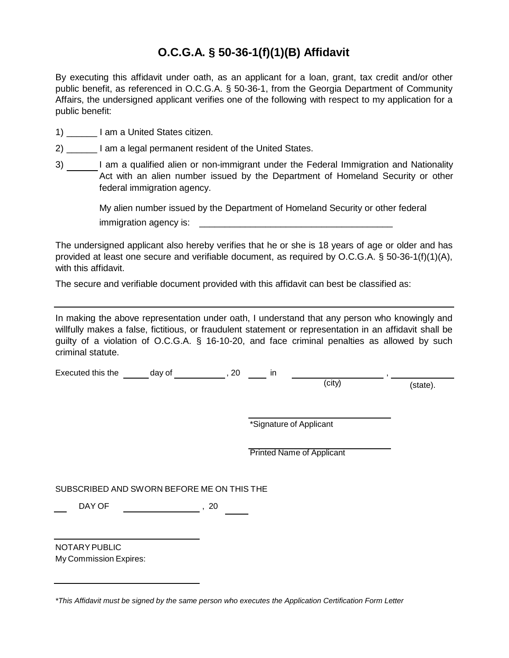## **O.C.G.A. § 50-36-1(f)(1)(B) Affidavit**

By executing this affidavit under oath, as an applicant for a loan, grant, tax credit and/or other public benefit, as referenced in O.C.G.A. § 50-36-1, from the Georgia Department of Community Affairs, the undersigned applicant verifies one of the following with respect to my application for a public benefit:

- 1) \_\_\_\_\_\_ I am a United States citizen.
- 2) am a legal permanent resident of the United States.
- 3) I am a qualified alien or non-immigrant under the Federal Immigration and Nationality Act with an alien number issued by the Department of Homeland Security or other federal immigration agency.

My alien number issued by the Department of Homeland Security or other federal immigration agency is: **with the set of the set of the set of the set of the set of the set of the set of the set of the set of the set of the set of the set of the set of the set of the set of the set of the set of the se** 

The undersigned applicant also hereby verifies that he or she is 18 years of age or older and has provided at least one secure and verifiable document, as required by O.C.G.A. § 50-36-1(f)(1)(A), with this affidavit.

The secure and verifiable document provided with this affidavit can best be classified as:

In making the above representation under oath, I understand that any person who knowingly and willfully makes a false, fictitious, or fraudulent statement or representation in an affidavit shall be guilty of a violation of O.C.G.A. § 16-10-20, and face criminal penalties as allowed by such criminal statute.

Executed this the  $\frac{1}{\text{day of}}$ , 20 in  $\frac{1}{\text{city}}$ 

(state).

\*Signature of Applicant

Printed Name of Applicant

SUBSCRIBED AND SWORN BEFORE ME ON THIS THE

DAY OF  $\sim$  , 20

NOTARY PUBLIC My Commission Expires:

*<sup>\*</sup>This Affidavit must be signed by the same person who executes the Application Certification Form Letter*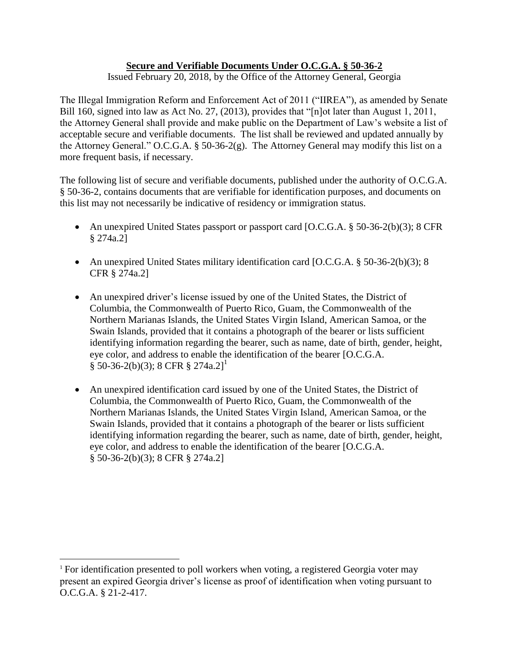## **Secure and Verifiable Documents Under O.C.G.A. § 50-36-2**

Issued February 20, 2018, by the Office of the Attorney General, Georgia

The Illegal Immigration Reform and Enforcement Act of 2011 ("IIREA"), as amended by Senate Bill 160, signed into law as Act No. 27, (2013), provides that "[n]ot later than August 1, 2011, the Attorney General shall provide and make public on the Department of Law's website a list of acceptable secure and verifiable documents. The list shall be reviewed and updated annually by the Attorney General." O.C.G.A. § 50-36-2(g). The Attorney General may modify this list on a more frequent basis, if necessary.

The following list of secure and verifiable documents, published under the authority of O.C.G.A. § 50-36-2, contains documents that are verifiable for identification purposes, and documents on this list may not necessarily be indicative of residency or immigration status.

- An unexpired United States passport or passport card [O.C.G.A. § 50-36-2(b)(3); 8 CFR § 274a.2]
- An unexpired United States military identification card [O.C.G.A. § 50-36-2(b)(3); 8 CFR § 274a.2]
- An unexpired driver's license issued by one of the United States, the District of Columbia, the Commonwealth of Puerto Rico, Guam, the Commonwealth of the Northern Marianas Islands, the United States Virgin Island, American Samoa, or the Swain Islands, provided that it contains a photograph of the bearer or lists sufficient identifying information regarding the bearer, such as name, date of birth, gender, height, eye color, and address to enable the identification of the bearer [O.C.G.A.  $\S$  50-36-2(b)(3); 8 CFR  $\S$  274a.2]<sup>1</sup>
- An unexpired identification card issued by one of the United States, the District of Columbia, the Commonwealth of Puerto Rico, Guam, the Commonwealth of the Northern Marianas Islands, the United States Virgin Island, American Samoa, or the Swain Islands, provided that it contains a photograph of the bearer or lists sufficient identifying information regarding the bearer, such as name, date of birth, gender, height, eye color, and address to enable the identification of the bearer [O.C.G.A. § 50-36-2(b)(3); 8 CFR § 274a.2]

 $\overline{a}$ 

<sup>&</sup>lt;sup>1</sup> For identification presented to poll workers when voting, a registered Georgia voter may present an expired Georgia driver's license as proof of identification when voting pursuant to O.C.G.A. § 21-2-417.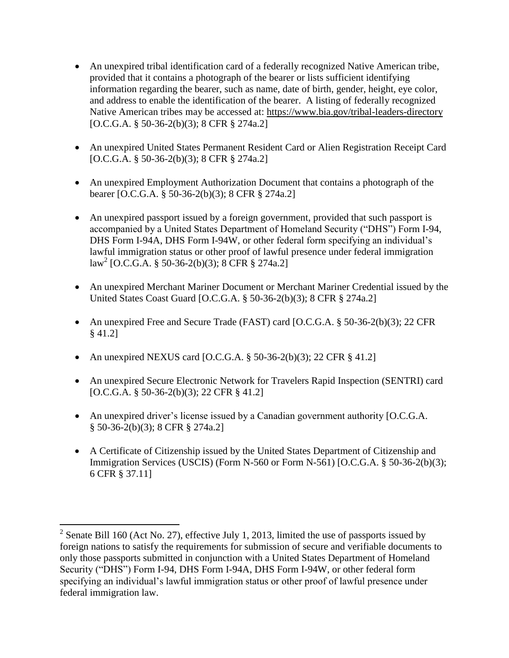- An unexpired tribal identification card of a federally recognized Native American tribe, provided that it contains a photograph of the bearer or lists sufficient identifying information regarding the bearer, such as name, date of birth, gender, height, eye color, and address to enable the identification of the bearer. A listing of federally recognized Native American tribes may be accessed at: https://www.bia.gov/tribal-leaders-directory [O.C.G.A. § 50-36-2(b)(3); 8 CFR § 274a.2]
- An unexpired United States Permanent Resident Card or Alien Registration Receipt Card [O.C.G.A. § 50-36-2(b)(3); 8 CFR § 274a.2]
- An unexpired Employment Authorization Document that contains a photograph of the bearer [O.C.G.A. § 50-36-2(b)(3); 8 CFR § 274a.2]
- An unexpired passport issued by a foreign government, provided that such passport is accompanied by a United States Department of Homeland Security ("DHS") Form I-94, DHS Form I-94A, DHS Form I-94W, or other federal form specifying an individual's lawful immigration status or other proof of lawful presence under federal immigration law<sup>2</sup> [O.C.G.A. § 50-36-2(b)(3); 8 CFR § 274a.2]
- An unexpired Merchant Mariner Document or Merchant Mariner Credential issued by the United States Coast Guard [O.C.G.A. § 50-36-2(b)(3); 8 CFR § 274a.2]
- An unexpired Free and Secure Trade (FAST) card [O.C.G.A. § 50-36-2(b)(3); 22 CFR § 41.2]
- An unexpired NEXUS card [O.C.G.A.  $\S$  50-36-2(b)(3); 22 CFR  $\S$  41.2]

 $\overline{a}$ 

- An unexpired Secure Electronic Network for Travelers Rapid Inspection (SENTRI) card [O.C.G.A. § 50-36-2(b)(3); 22 CFR § 41.2]
- An unexpired driver's license issued by a Canadian government authority [O.C.G.A. § 50-36-2(b)(3); 8 CFR § 274a.2]
- A Certificate of Citizenship issued by the United States Department of Citizenship and Immigration Services (USCIS) (Form N-560 or Form N-561) [O.C.G.A. § 50-36-2(b)(3); 6 CFR § 37.11]

<sup>&</sup>lt;sup>2</sup> Senate Bill 160 (Act No. 27), effective July 1, 2013, limited the use of passports issued by foreign nations to satisfy the requirements for submission of secure and verifiable documents to only those passports submitted in conjunction with a United States Department of Homeland Security ("DHS") Form I-94, DHS Form I-94A, DHS Form I-94W, or other federal form specifying an individual's lawful immigration status or other proof of lawful presence under federal immigration law.